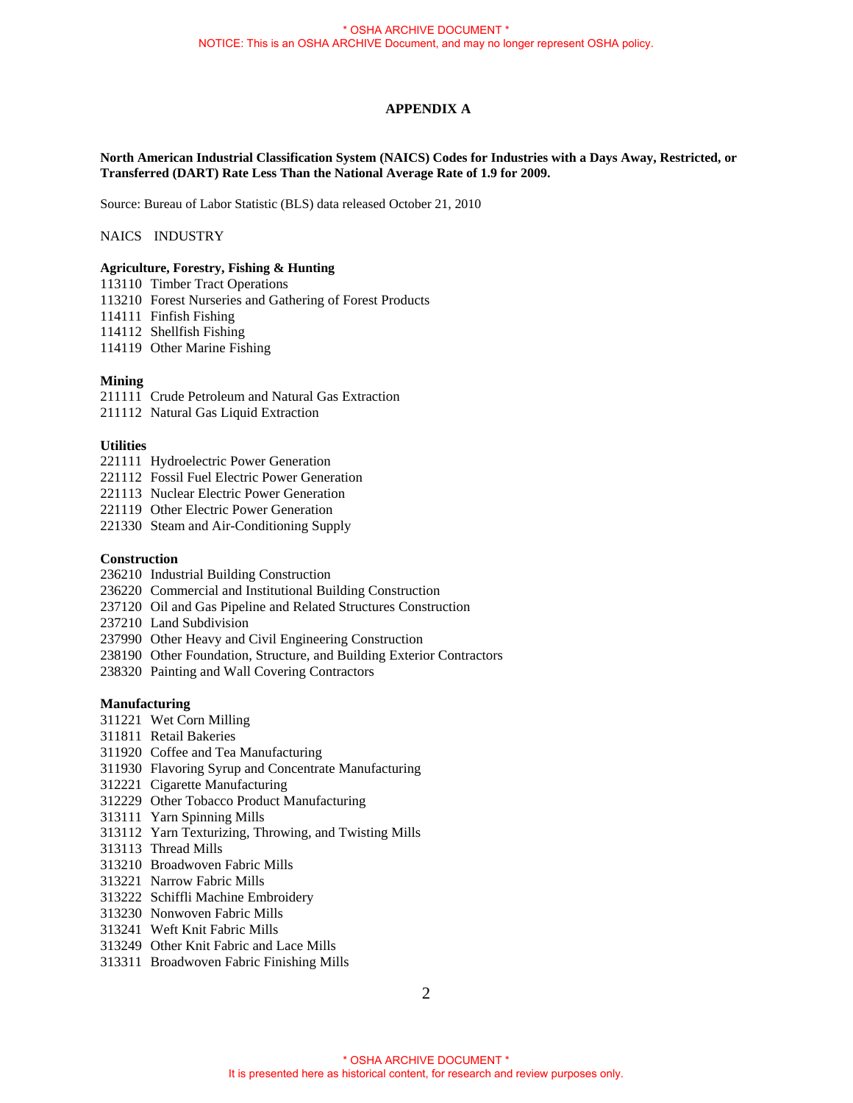# **APPENDIX A**

### **North American Industrial Classification System (NAICS) Codes for Industries with a Days Away, Restricted, or Transferred (DART) Rate Less Than the National Average Rate of 1.9 for 2009.**

Source: Bureau of Labor Statistic (BLS) data released October 21, 2010

### NAICS INDUSTRY

## **Agriculture, Forestry, Fishing & Hunting**

- 113110 Timber Tract Operations
- 113210 Forest Nurseries and Gathering of Forest Products
- 114111 Finfish Fishing
- 114112 Shellfish Fishing
- 114119 Other Marine Fishing

### **Mining**

- 211111 Crude Petroleum and Natural Gas Extraction
- 211112 Natural Gas Liquid Extraction

#### **Utilities**

- 221111 Hydroelectric Power Generation
- 221112 Fossil Fuel Electric Power Generation
- 221113 Nuclear Electric Power Generation
- 221119 Other Electric Power Generation
- 221330 Steam and Air-Conditioning Supply

#### **Construction**

- 236210 Industrial Building Construction
- 236220 Commercial and Institutional Building Construction
- 237120 Oil and Gas Pipeline and Related Structures Construction
- 237210 Land Subdivision
- 237990 Other Heavy and Civil Engineering Construction
- 238190 Other Foundation, Structure, and Building Exterior Contractors
- 238320 Painting and Wall Covering Contractors

### **Manufacturing**

- 311221 Wet Corn Milling
- 311811 Retail Bakeries
- 311920 Coffee and Tea Manufacturing
- 311930 Flavoring Syrup and Concentrate Manufacturing
- 312221 Cigarette Manufacturing
- 312229 Other Tobacco Product Manufacturing
- 313111 Yarn Spinning Mills
- 313112 Yarn Texturizing, Throwing, and Twisting Mills
- 313113 Thread Mills
- 313210 Broadwoven Fabric Mills
- 313221 Narrow Fabric Mills
- 313222 Schiffli Machine Embroidery
- 313230 Nonwoven Fabric Mills
- 313241 Weft Knit Fabric Mills
- 313249 Other Knit Fabric and Lace Mills
- 313311 Broadwoven Fabric Finishing Mills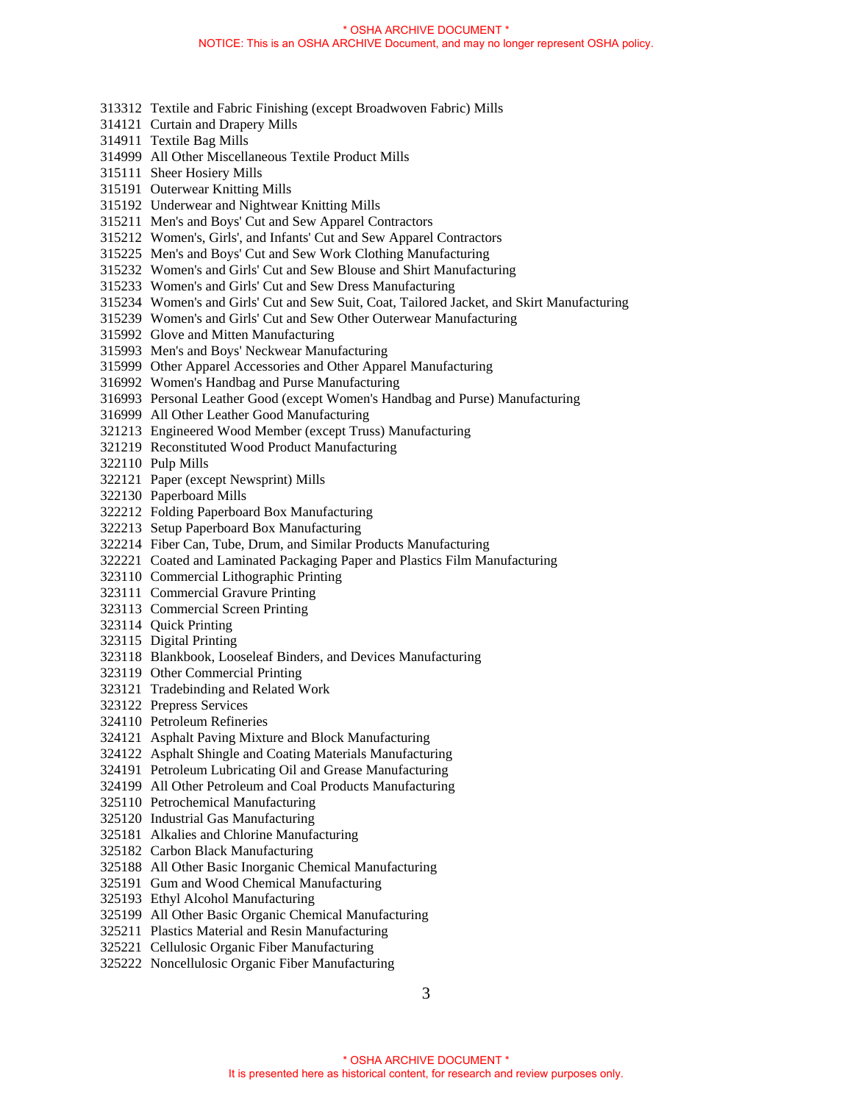- 313312 Textile and Fabric Finishing (except Broadwoven Fabric) Mills
- 314121 Curtain and Drapery Mills
- 314911 Textile Bag Mills
- 314999 All Other Miscellaneous Textile Product Mills
- 315111 Sheer Hosiery Mills
- 315191 Outerwear Knitting Mills
- 315192 Underwear and Nightwear Knitting Mills
- 315211 Men's and Boys' Cut and Sew Apparel Contractors
- 315212 Women's, Girls', and Infants' Cut and Sew Apparel Contractors
- 315225 Men's and Boys' Cut and Sew Work Clothing Manufacturing
- 315232 Women's and Girls' Cut and Sew Blouse and Shirt Manufacturing
- 315233 Women's and Girls' Cut and Sew Dress Manufacturing
- 315234 Women's and Girls' Cut and Sew Suit, Coat, Tailored Jacket, and Skirt Manufacturing
- 315239 Women's and Girls' Cut and Sew Other Outerwear Manufacturing
- 315992 Glove and Mitten Manufacturing
- 315993 Men's and Boys' Neckwear Manufacturing
- 315999 Other Apparel Accessories and Other Apparel Manufacturing
- 316992 Women's Handbag and Purse Manufacturing
- 316993 Personal Leather Good (except Women's Handbag and Purse) Manufacturing
- 316999 All Other Leather Good Manufacturing
- 321213 Engineered Wood Member (except Truss) Manufacturing
- 321219 Reconstituted Wood Product Manufacturing
- 322110 Pulp Mills
- 322121 Paper (except Newsprint) Mills
- 322130 Paperboard Mills
- 322212 Folding Paperboard Box Manufacturing
- 322213 Setup Paperboard Box Manufacturing
- 322214 Fiber Can, Tube, Drum, and Similar Products Manufacturing
- 322221 Coated and Laminated Packaging Paper and Plastics Film Manufacturing
- 323110 Commercial Lithographic Printing
- 323111 Commercial Gravure Printing
- 323113 Commercial Screen Printing
- 323114 Quick Printing
- 323115 Digital Printing
- 323118 Blankbook, Looseleaf Binders, and Devices Manufacturing
- 323119 Other Commercial Printing
- 323121 Tradebinding and Related Work
- 323122 Prepress Services
- 324110 Petroleum Refineries
- 324121 Asphalt Paving Mixture and Block Manufacturing
- 324122 Asphalt Shingle and Coating Materials Manufacturing
- 324191 Petroleum Lubricating Oil and Grease Manufacturing
- 324199 All Other Petroleum and Coal Products Manufacturing
- 325110 Petrochemical Manufacturing
- 325120 Industrial Gas Manufacturing
- 325181 Alkalies and Chlorine Manufacturing
- 325182 Carbon Black Manufacturing
- 325188 All Other Basic Inorganic Chemical Manufacturing
- 325191 Gum and Wood Chemical Manufacturing
- 325193 Ethyl Alcohol Manufacturing
- 325199 All Other Basic Organic Chemical Manufacturing
- 325211 Plastics Material and Resin Manufacturing
- 325221 Cellulosic Organic Fiber Manufacturing
- 325222 Noncellulosic Organic Fiber Manufacturing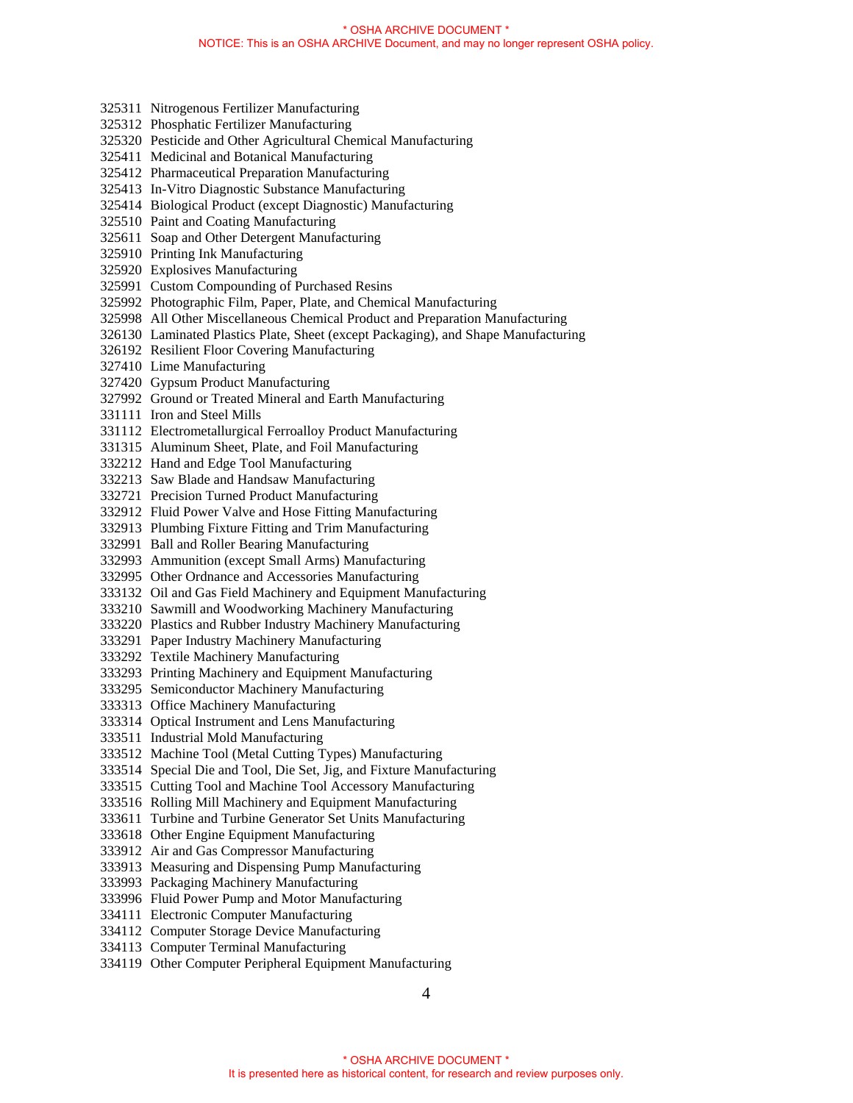- 325311 Nitrogenous Fertilizer Manufacturing
- 325312 Phosphatic Fertilizer Manufacturing
- 325320 Pesticide and Other Agricultural Chemical Manufacturing
- 325411 Medicinal and Botanical Manufacturing
- 325412 Pharmaceutical Preparation Manufacturing
- 325413 In-Vitro Diagnostic Substance Manufacturing
- 325414 Biological Product (except Diagnostic) Manufacturing
- 325510 Paint and Coating Manufacturing
- 325611 Soap and Other Detergent Manufacturing
- 325910 Printing Ink Manufacturing
- 325920 Explosives Manufacturing
- 325991 Custom Compounding of Purchased Resins
- 325992 Photographic Film, Paper, Plate, and Chemical Manufacturing
- 325998 All Other Miscellaneous Chemical Product and Preparation Manufacturing
- 326130 Laminated Plastics Plate, Sheet (except Packaging), and Shape Manufacturing
- 326192 Resilient Floor Covering Manufacturing
- 327410 Lime Manufacturing
- 327420 Gypsum Product Manufacturing
- 327992 Ground or Treated Mineral and Earth Manufacturing
- 331111 Iron and Steel Mills
- 331112 Electrometallurgical Ferroalloy Product Manufacturing
- 331315 Aluminum Sheet, Plate, and Foil Manufacturing
- 332212 Hand and Edge Tool Manufacturing
- 332213 Saw Blade and Handsaw Manufacturing
- 332721 Precision Turned Product Manufacturing
- 332912 Fluid Power Valve and Hose Fitting Manufacturing
- 332913 Plumbing Fixture Fitting and Trim Manufacturing
- 332991 Ball and Roller Bearing Manufacturing
- 332993 Ammunition (except Small Arms) Manufacturing
- 332995 Other Ordnance and Accessories Manufacturing
- 333132 Oil and Gas Field Machinery and Equipment Manufacturing
- 333210 Sawmill and Woodworking Machinery Manufacturing
- 333220 Plastics and Rubber Industry Machinery Manufacturing
- 333291 Paper Industry Machinery Manufacturing
- 333292 Textile Machinery Manufacturing
- 333293 Printing Machinery and Equipment Manufacturing
- 333295 Semiconductor Machinery Manufacturing
- 333313 Office Machinery Manufacturing
- 333314 Optical Instrument and Lens Manufacturing
- 333511 Industrial Mold Manufacturing
- 333512 Machine Tool (Metal Cutting Types) Manufacturing
- 333514 Special Die and Tool, Die Set, Jig, and Fixture Manufacturing
- 333515 Cutting Tool and Machine Tool Accessory Manufacturing
- 333516 Rolling Mill Machinery and Equipment Manufacturing
- 333611 Turbine and Turbine Generator Set Units Manufacturing
- 333618 Other Engine Equipment Manufacturing
- 333912 Air and Gas Compressor Manufacturing
- 333913 Measuring and Dispensing Pump Manufacturing
- 333993 Packaging Machinery Manufacturing
- 333996 Fluid Power Pump and Motor Manufacturing
- 334111 Electronic Computer Manufacturing
- 334112 Computer Storage Device Manufacturing
- 334113 Computer Terminal Manufacturing
- 334119 Other Computer Peripheral Equipment Manufacturing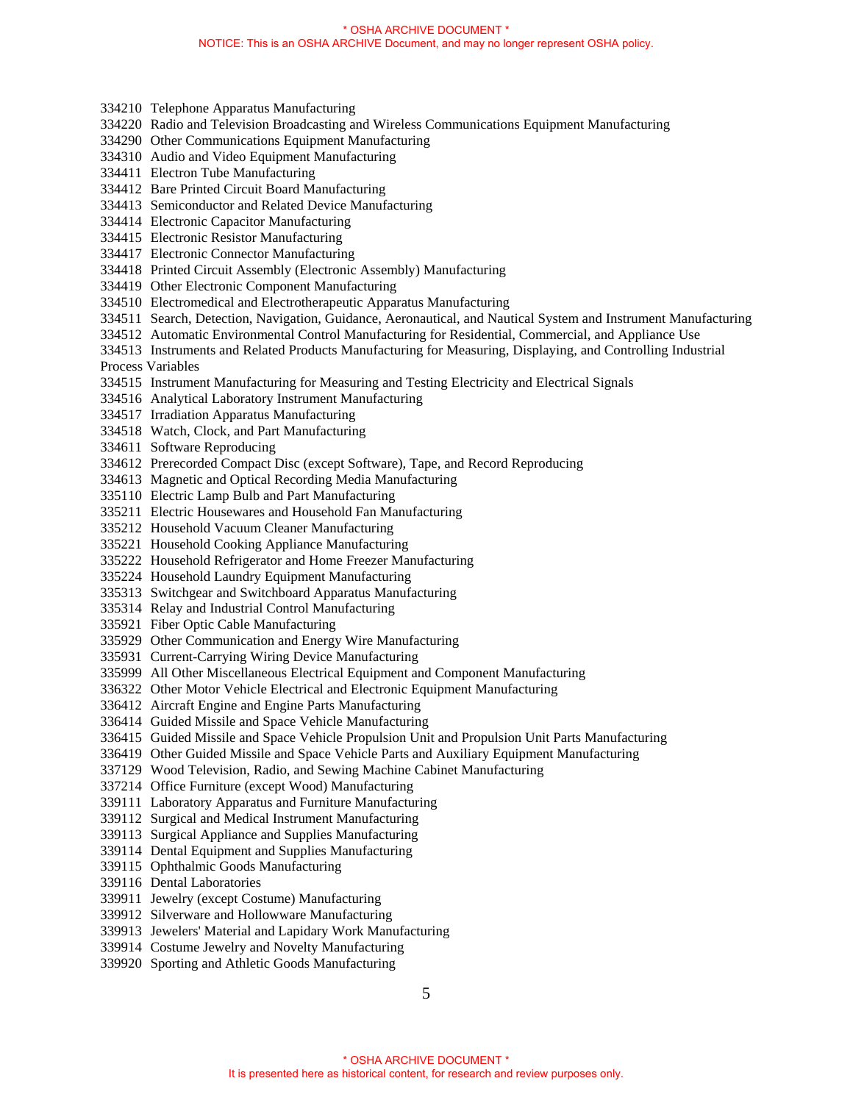- 334210 Telephone Apparatus Manufacturing
- 334220 Radio and Television Broadcasting and Wireless Communications Equipment Manufacturing
- 334290 Other Communications Equipment Manufacturing
- 334310 Audio and Video Equipment Manufacturing
- 334411 Electron Tube Manufacturing
- 334412 Bare Printed Circuit Board Manufacturing
- 334413 Semiconductor and Related Device Manufacturing
- 334414 Electronic Capacitor Manufacturing
- 334415 Electronic Resistor Manufacturing
- 334417 Electronic Connector Manufacturing
- 334418 Printed Circuit Assembly (Electronic Assembly) Manufacturing
- 334419 Other Electronic Component Manufacturing
- 334510 Electromedical and Electrotherapeutic Apparatus Manufacturing
- 334511 Search, Detection, Navigation, Guidance, Aeronautical, and Nautical System and Instrument Manufacturing
- 334512 Automatic Environmental Control Manufacturing for Residential, Commercial, and Appliance Use
- 334513 Instruments and Related Products Manufacturing for Measuring, Displaying, and Controlling Industrial Process Variables
- 
- 334515 Instrument Manufacturing for Measuring and Testing Electricity and Electrical Signals
- 334516 Analytical Laboratory Instrument Manufacturing
- 334517 Irradiation Apparatus Manufacturing
- 334518 Watch, Clock, and Part Manufacturing
- 334611 Software Reproducing
- 334612 Prerecorded Compact Disc (except Software), Tape, and Record Reproducing
- 334613 Magnetic and Optical Recording Media Manufacturing
- 335110 Electric Lamp Bulb and Part Manufacturing
- 335211 Electric Housewares and Household Fan Manufacturing
- 335212 Household Vacuum Cleaner Manufacturing
- 335221 Household Cooking Appliance Manufacturing
- 335222 Household Refrigerator and Home Freezer Manufacturing
- 335224 Household Laundry Equipment Manufacturing
- 335313 Switchgear and Switchboard Apparatus Manufacturing
- 335314 Relay and Industrial Control Manufacturing
- 335921 Fiber Optic Cable Manufacturing
- 335929 Other Communication and Energy Wire Manufacturing
- 335931 Current-Carrying Wiring Device Manufacturing
- 335999 All Other Miscellaneous Electrical Equipment and Component Manufacturing
- 336322 Other Motor Vehicle Electrical and Electronic Equipment Manufacturing
- 336412 Aircraft Engine and Engine Parts Manufacturing
- 336414 Guided Missile and Space Vehicle Manufacturing
- 336415 Guided Missile and Space Vehicle Propulsion Unit and Propulsion Unit Parts Manufacturing
- 336419 Other Guided Missile and Space Vehicle Parts and Auxiliary Equipment Manufacturing
- 337129 Wood Television, Radio, and Sewing Machine Cabinet Manufacturing
- 337214 Office Furniture (except Wood) Manufacturing
- 339111 Laboratory Apparatus and Furniture Manufacturing
- 339112 Surgical and Medical Instrument Manufacturing
- 339113 Surgical Appliance and Supplies Manufacturing
- 339114 Dental Equipment and Supplies Manufacturing
- 339115 Ophthalmic Goods Manufacturing
- 339116 Dental Laboratories
- 339911 Jewelry (except Costume) Manufacturing
- 339912 Silverware and Hollowware Manufacturing
- 339913 Jewelers' Material and Lapidary Work Manufacturing
- 339914 Costume Jewelry and Novelty Manufacturing
- 339920 Sporting and Athletic Goods Manufacturing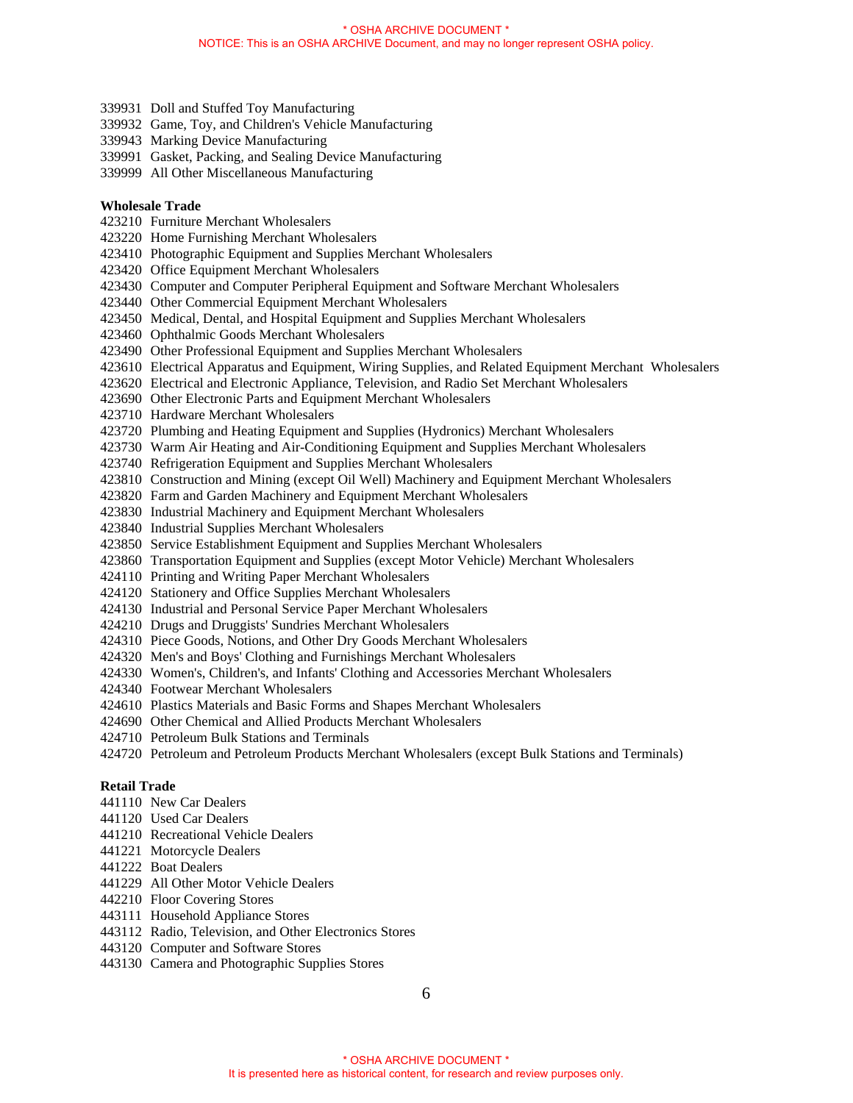- 339931 Doll and Stuffed Toy Manufacturing
- 339932 Game, Toy, and Children's Vehicle Manufacturing
- 339943 Marking Device Manufacturing
- 339991 Gasket, Packing, and Sealing Device Manufacturing
- 339999 All Other Miscellaneous Manufacturing

### **Wholesale Trade**

- 423210 Furniture Merchant Wholesalers
- 423220 Home Furnishing Merchant Wholesalers
- 423410 Photographic Equipment and Supplies Merchant Wholesalers
- 423420 Office Equipment Merchant Wholesalers
- 423430 Computer and Computer Peripheral Equipment and Software Merchant Wholesalers
- 423440 Other Commercial Equipment Merchant Wholesalers
- 423450 Medical, Dental, and Hospital Equipment and Supplies Merchant Wholesalers
- 423460 Ophthalmic Goods Merchant Wholesalers
- 423490 Other Professional Equipment and Supplies Merchant Wholesalers
- 423610 Electrical Apparatus and Equipment, Wiring Supplies, and Related Equipment Merchant Wholesalers
- 423620 Electrical and Electronic Appliance, Television, and Radio Set Merchant Wholesalers
- 423690 Other Electronic Parts and Equipment Merchant Wholesalers
- 423710 Hardware Merchant Wholesalers
- 423720 Plumbing and Heating Equipment and Supplies (Hydronics) Merchant Wholesalers
- 423730 Warm Air Heating and Air-Conditioning Equipment and Supplies Merchant Wholesalers
- 423740 Refrigeration Equipment and Supplies Merchant Wholesalers
- 423810 Construction and Mining (except Oil Well) Machinery and Equipment Merchant Wholesalers
- 423820 Farm and Garden Machinery and Equipment Merchant Wholesalers
- 423830 Industrial Machinery and Equipment Merchant Wholesalers
- 423840 Industrial Supplies Merchant Wholesalers
- 423850 Service Establishment Equipment and Supplies Merchant Wholesalers
- 423860 Transportation Equipment and Supplies (except Motor Vehicle) Merchant Wholesalers
- 424110 Printing and Writing Paper Merchant Wholesalers
- 424120 Stationery and Office Supplies Merchant Wholesalers
- 424130 Industrial and Personal Service Paper Merchant Wholesalers
- 424210 Drugs and Druggists' Sundries Merchant Wholesalers
- 424310 Piece Goods, Notions, and Other Dry Goods Merchant Wholesalers
- 424320 Men's and Boys' Clothing and Furnishings Merchant Wholesalers
- 424330 Women's, Children's, and Infants' Clothing and Accessories Merchant Wholesalers
- 424340 Footwear Merchant Wholesalers
- 424610 Plastics Materials and Basic Forms and Shapes Merchant Wholesalers
- 424690 Other Chemical and Allied Products Merchant Wholesalers
- 424710 Petroleum Bulk Stations and Terminals
- 424720 Petroleum and Petroleum Products Merchant Wholesalers (except Bulk Stations and Terminals)

#### **Retail Trade**

- 441110 New Car Dealers
- 441120 Used Car Dealers
- 441210 Recreational Vehicle Dealers
- 441221 Motorcycle Dealers
- 441222 Boat Dealers
- 441229 All Other Motor Vehicle Dealers
- 442210 Floor Covering Stores
- 443111 Household Appliance Stores
- 443112 Radio, Television, and Other Electronics Stores
- 443120 Computer and Software Stores
- 443130 Camera and Photographic Supplies Stores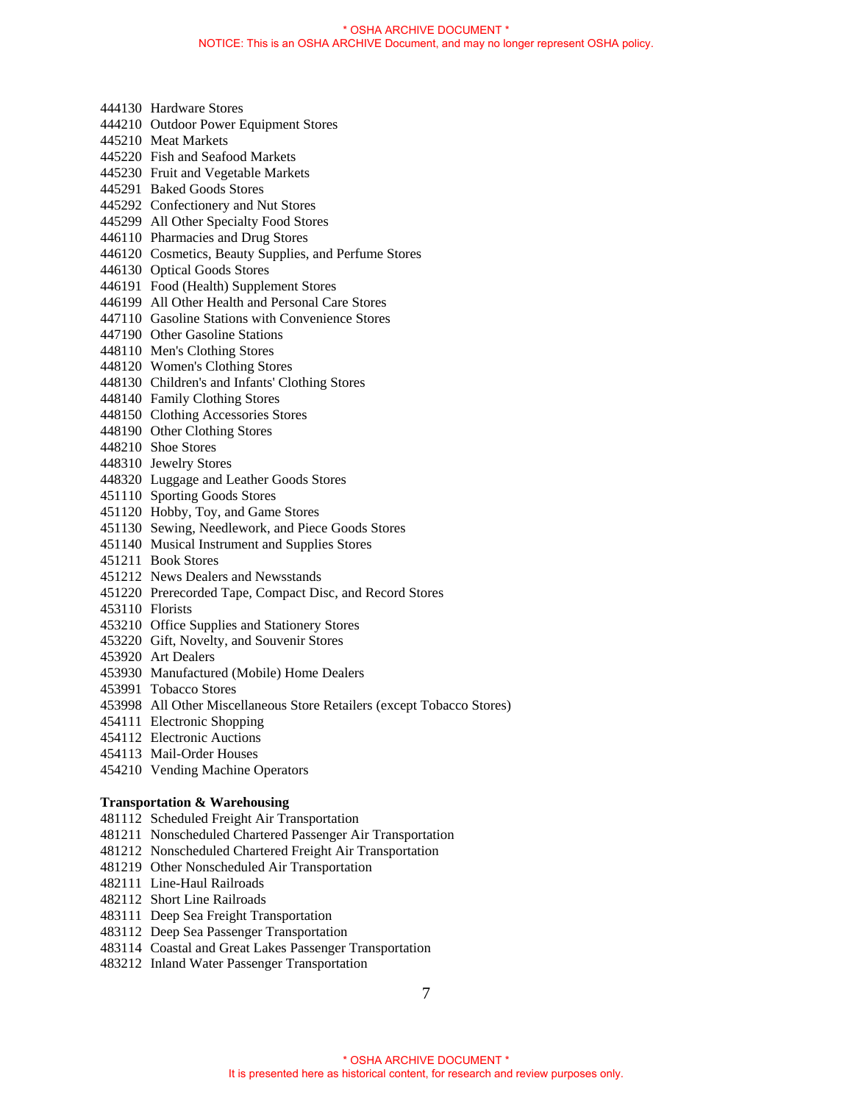- 444210 Outdoor Power Equipment Stores 445210 Meat Markets 445220 Fish and Seafood Markets 445230 Fruit and Vegetable Markets 445291 Baked Goods Stores 445292 Confectionery and Nut Stores 445299 All Other Specialty Food Stores 446110 Pharmacies and Drug Stores 446120 Cosmetics, Beauty Supplies, and Perfume Stores 446130 Optical Goods Stores 446191 Food (Health) Supplement Stores 446199 All Other Health and Personal Care Stores 447110 Gasoline Stations with Convenience Stores 447190 Other Gasoline Stations 448110 Men's Clothing Stores 448120 Women's Clothing Stores 448130 Children's and Infants' Clothing Stores 448140 Family Clothing Stores 448150 Clothing Accessories Stores 448190 Other Clothing Stores 448210 Shoe Stores 448310 Jewelry Stores
- 448320 Luggage and Leather Goods Stores
- 451110 Sporting Goods Stores

444130 Hardware Stores

- 451120 Hobby, Toy, and Game Stores
- 451130 Sewing, Needlework, and Piece Goods Stores
- 451140 Musical Instrument and Supplies Stores
- 451211 Book Stores
- 451212 News Dealers and Newsstands
- 451220 Prerecorded Tape, Compact Disc, and Record Stores
- 453110 Florists
- 453210 Office Supplies and Stationery Stores
- 453220 Gift, Novelty, and Souvenir Stores
- 453920 Art Dealers
- 453930 Manufactured (Mobile) Home Dealers
- 453991 Tobacco Stores
- 453998 All Other Miscellaneous Store Retailers (except Tobacco Stores)
- 454111 Electronic Shopping
- 454112 Electronic Auctions
- 454113 Mail-Order Houses
- 454210 Vending Machine Operators

# **Transportation & Warehousing**

- 481112 Scheduled Freight Air Transportation
- 481211 Nonscheduled Chartered Passenger Air Transportation
- 481212 Nonscheduled Chartered Freight Air Transportation
- 481219 Other Nonscheduled Air Transportation
- 482111 Line-Haul Railroads
- 482112 Short Line Railroads
- 483111 Deep Sea Freight Transportation
- 483112 Deep Sea Passenger Transportation
- 483114 Coastal and Great Lakes Passenger Transportation
- 483212 Inland Water Passenger Transportation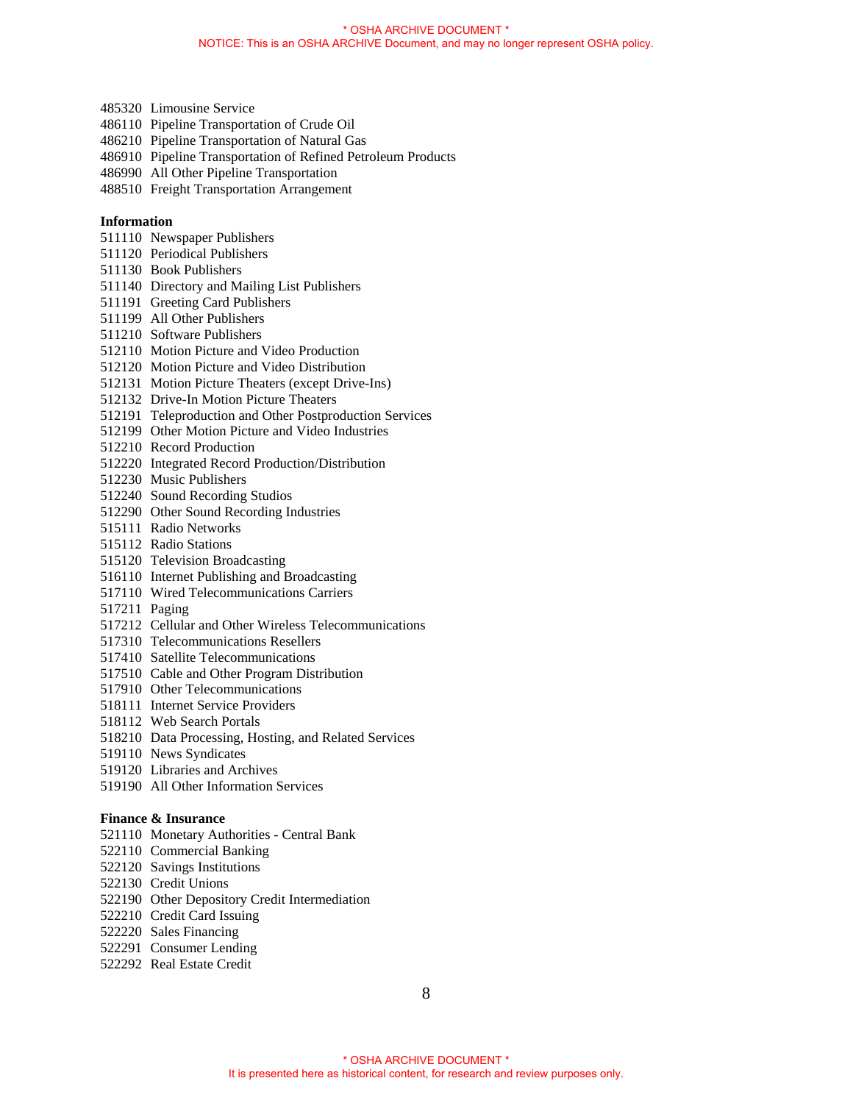- 485320 Limousine Service
- 486110 Pipeline Transportation of Crude Oil
- 486210 Pipeline Transportation of Natural Gas
- 486910 Pipeline Transportation of Refined Petroleum Products
- 486990 All Other Pipeline Transportation
- 488510 Freight Transportation Arrangement

# **Information**

- 511110 Newspaper Publishers
- 511120 Periodical Publishers
- 511130 Book Publishers
- 511140 Directory and Mailing List Publishers
- 511191 Greeting Card Publishers
- 511199 All Other Publishers
- 511210 Software Publishers
- 512110 Motion Picture and Video Production
- 512120 Motion Picture and Video Distribution
- 512131 Motion Picture Theaters (except Drive-Ins)
- 512132 Drive-In Motion Picture Theaters
- 512191 Teleproduction and Other Postproduction Services
- 512199 Other Motion Picture and Video Industries
- 512210 Record Production
- 512220 Integrated Record Production/Distribution
- 512230 Music Publishers
- 512240 Sound Recording Studios
- 512290 Other Sound Recording Industries
- 515111 Radio Networks
- 515112 Radio Stations
- 515120 Television Broadcasting
- 516110 Internet Publishing and Broadcasting
- 517110 Wired Telecommunications Carriers
- 517211 Paging
- 517212 Cellular and Other Wireless Telecommunications
- 517310 Telecommunications Resellers
- 517410 Satellite Telecommunications
- 517510 Cable and Other Program Distribution
- 517910 Other Telecommunications
- 518111 Internet Service Providers
- 518112 Web Search Portals
- 518210 Data Processing, Hosting, and Related Services
- 519110 News Syndicates
- 519120 Libraries and Archives
- 519190 All Other Information Services

### **Finance & Insurance**

- 521110 Monetary Authorities Central Bank
- 522110 Commercial Banking
- 522120 Savings Institutions
- 522130 Credit Unions
- 522190 Other Depository Credit Intermediation
- 522210 Credit Card Issuing
- 522220 Sales Financing
- 522291 Consumer Lending
- 522292 Real Estate Credit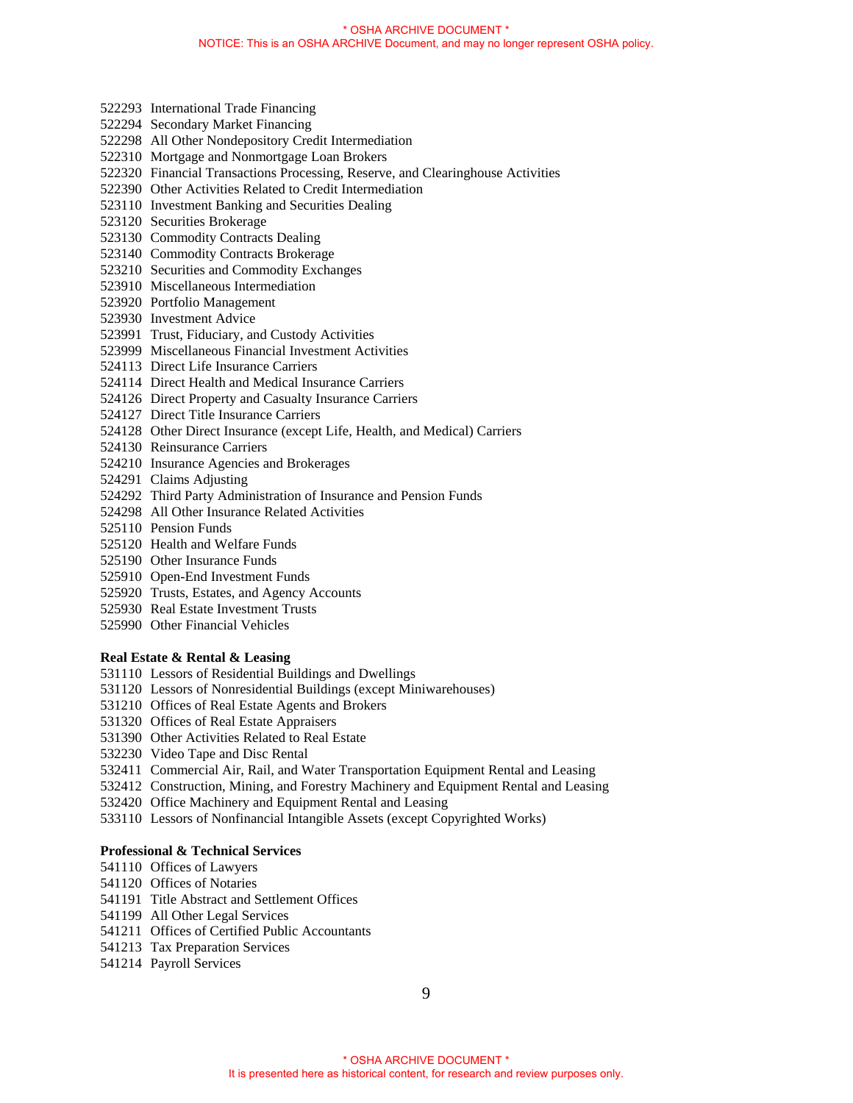- 522293 International Trade Financing
- 522294 Secondary Market Financing
- 522298 All Other Nondepository Credit Intermediation
- 522310 Mortgage and Nonmortgage Loan Brokers
- 522320 Financial Transactions Processing, Reserve, and Clearinghouse Activities
- 522390 Other Activities Related to Credit Intermediation
- 523110 Investment Banking and Securities Dealing
- 523120 Securities Brokerage
- 523130 Commodity Contracts Dealing
- 523140 Commodity Contracts Brokerage
- 523210 Securities and Commodity Exchanges
- 523910 Miscellaneous Intermediation
- 523920 Portfolio Management
- 523930 Investment Advice
- 523991 Trust, Fiduciary, and Custody Activities
- 523999 Miscellaneous Financial Investment Activities
- 524113 Direct Life Insurance Carriers
- 524114 Direct Health and Medical Insurance Carriers
- 524126 Direct Property and Casualty Insurance Carriers
- 524127 Direct Title Insurance Carriers
- 524128 Other Direct Insurance (except Life, Health, and Medical) Carriers
- 524130 Reinsurance Carriers
- 524210 Insurance Agencies and Brokerages
- 524291 Claims Adjusting
- 524292 Third Party Administration of Insurance and Pension Funds
- 524298 All Other Insurance Related Activities
- 525110 Pension Funds
- 525120 Health and Welfare Funds
- 525190 Other Insurance Funds
- 525910 Open-End Investment Funds
- 525920 Trusts, Estates, and Agency Accounts
- 525930 Real Estate Investment Trusts
- 525990 Other Financial Vehicles

### **Real Estate & Rental & Leasing**

- 531110 Lessors of Residential Buildings and Dwellings
- 531120 Lessors of Nonresidential Buildings (except Miniwarehouses)
- 531210 Offices of Real Estate Agents and Brokers
- 531320 Offices of Real Estate Appraisers
- 531390 Other Activities Related to Real Estate
- 532230 Video Tape and Disc Rental
- 532411 Commercial Air, Rail, and Water Transportation Equipment Rental and Leasing
- 532412 Construction, Mining, and Forestry Machinery and Equipment Rental and Leasing
- 532420 Office Machinery and Equipment Rental and Leasing
- 533110 Lessors of Nonfinancial Intangible Assets (except Copyrighted Works)

# **Professional & Technical Services**

- 541110 Offices of Lawyers
- 541120 Offices of Notaries
- 541191 Title Abstract and Settlement Offices
- 541199 All Other Legal Services
- 541211 Offices of Certified Public Accountants
- 541213 Tax Preparation Services
- 541214 Payroll Services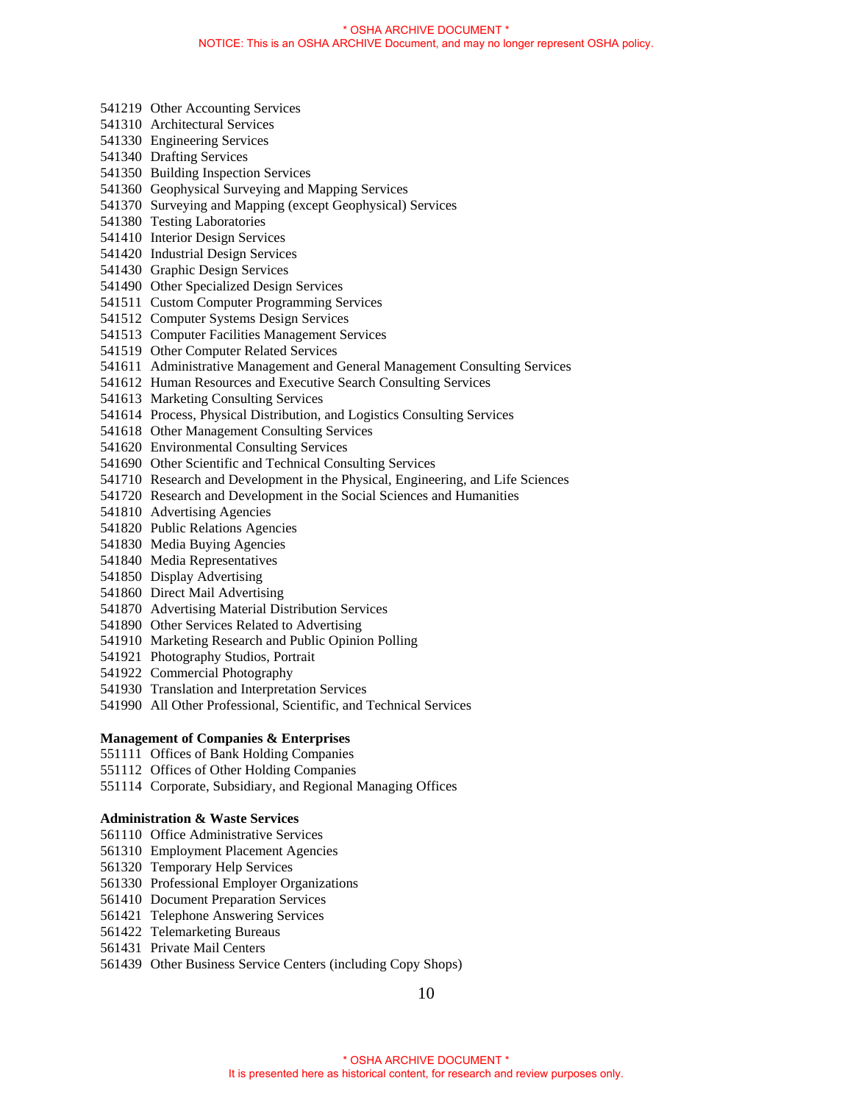- 541219 Other Accounting Services
- 541310 Architectural Services
- 541330 Engineering Services
- 541340 Drafting Services
- 541350 Building Inspection Services
- 541360 Geophysical Surveying and Mapping Services
- 541370 Surveying and Mapping (except Geophysical) Services
- 541380 Testing Laboratories
- 541410 Interior Design Services
- 541420 Industrial Design Services
- 541430 Graphic Design Services
- 541490 Other Specialized Design Services
- 541511 Custom Computer Programming Services
- 541512 Computer Systems Design Services
- 541513 Computer Facilities Management Services
- 541519 Other Computer Related Services
- 541611 Administrative Management and General Management Consulting Services
- 541612 Human Resources and Executive Search Consulting Services
- 541613 Marketing Consulting Services
- 541614 Process, Physical Distribution, and Logistics Consulting Services
- 541618 Other Management Consulting Services
- 541620 Environmental Consulting Services
- 541690 Other Scientific and Technical Consulting Services
- 541710 Research and Development in the Physical, Engineering, and Life Sciences
- 541720 Research and Development in the Social Sciences and Humanities
- 541810 Advertising Agencies
- 541820 Public Relations Agencies
- 541830 Media Buying Agencies
- 541840 Media Representatives
- 541850 Display Advertising
- 541860 Direct Mail Advertising
- 541870 Advertising Material Distribution Services
- 541890 Other Services Related to Advertising
- 541910 Marketing Research and Public Opinion Polling
- 541921 Photography Studios, Portrait
- 541922 Commercial Photography
- 541930 Translation and Interpretation Services
- 541990 All Other Professional, Scientific, and Technical Services

### **Management of Companies & Enterprises**

- 551111 Offices of Bank Holding Companies
- 551112 Offices of Other Holding Companies
- 551114 Corporate, Subsidiary, and Regional Managing Offices

# **Administration & Waste Services**

- 561110 Office Administrative Services
- 561310 Employment Placement Agencies
- 561320 Temporary Help Services
- 561330 Professional Employer Organizations
- 561410 Document Preparation Services
- 561421 Telephone Answering Services
- 561422 Telemarketing Bureaus
- 561431 Private Mail Centers
- 561439 Other Business Service Centers (including Copy Shops)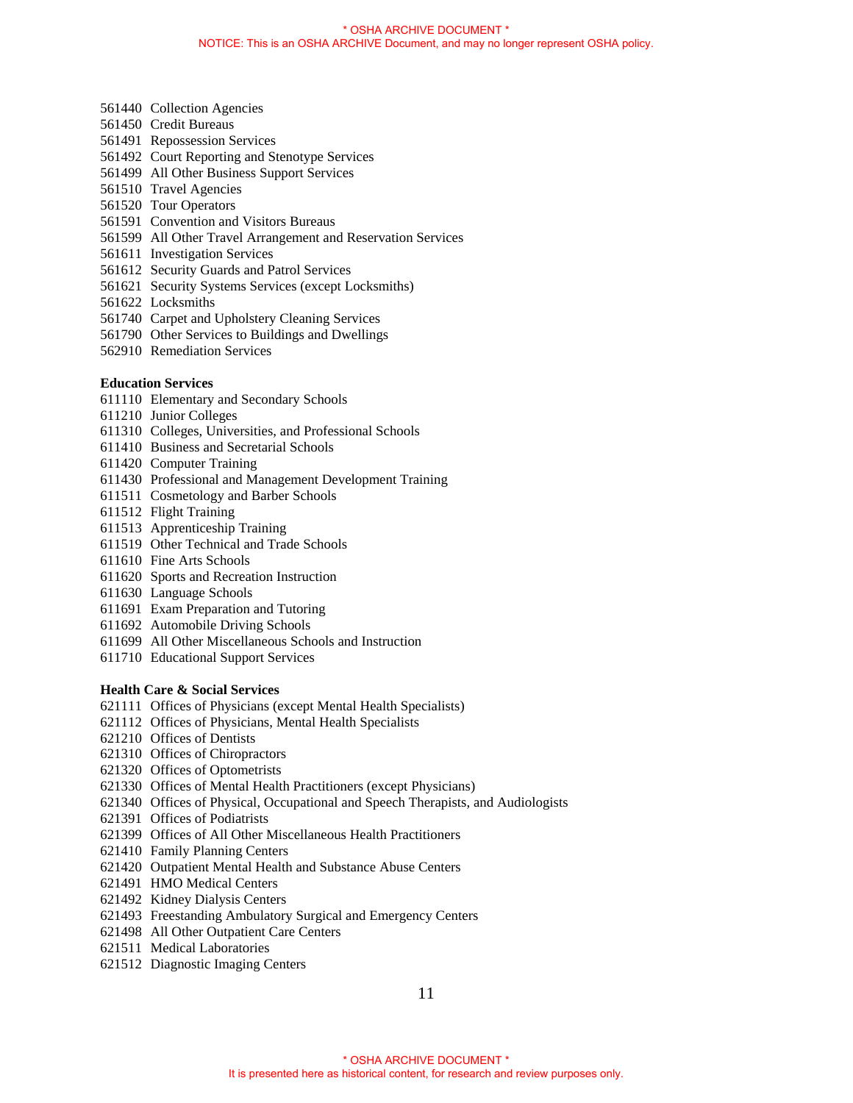- 561440 Collection Agencies
- 561450 Credit Bureaus
- 561491 Repossession Services
- 561492 Court Reporting and Stenotype Services
- 561499 All Other Business Support Services
- 561510 Travel Agencies
- 561520 Tour Operators
- 561591 Convention and Visitors Bureaus
- 561599 All Other Travel Arrangement and Reservation Services
- 561611 Investigation Services
- 561612 Security Guards and Patrol Services
- 561621 Security Systems Services (except Locksmiths)
- 561622 Locksmiths
- 561740 Carpet and Upholstery Cleaning Services
- 561790 Other Services to Buildings and Dwellings
- 562910 Remediation Services

# **Education Services**

- 611110 Elementary and Secondary Schools
- 611210 Junior Colleges
- 611310 Colleges, Universities, and Professional Schools
- 611410 Business and Secretarial Schools
- 611420 Computer Training
- 611430 Professional and Management Development Training
- 611511 Cosmetology and Barber Schools
- 611512 Flight Training
- 611513 Apprenticeship Training
- 611519 Other Technical and Trade Schools
- 611610 Fine Arts Schools
- 611620 Sports and Recreation Instruction
- 611630 Language Schools
- 611691 Exam Preparation and Tutoring
- 611692 Automobile Driving Schools
- 611699 All Other Miscellaneous Schools and Instruction
- 611710 Educational Support Services

### **Health Care & Social Services**

- 621111 Offices of Physicians (except Mental Health Specialists)
- 621112 Offices of Physicians, Mental Health Specialists
- 621210 Offices of Dentists
- 621310 Offices of Chiropractors
- 621320 Offices of Optometrists
- 621330 Offices of Mental Health Practitioners (except Physicians)
- 621340 Offices of Physical, Occupational and Speech Therapists, and Audiologists
- 621391 Offices of Podiatrists
- 621399 Offices of All Other Miscellaneous Health Practitioners
- 621410 Family Planning Centers
- 621420 Outpatient Mental Health and Substance Abuse Centers
- 621491 HMO Medical Centers
- 621492 Kidney Dialysis Centers
- 621493 Freestanding Ambulatory Surgical and Emergency Centers
- 621498 All Other Outpatient Care Centers
- 621511 Medical Laboratories
- 621512 Diagnostic Imaging Centers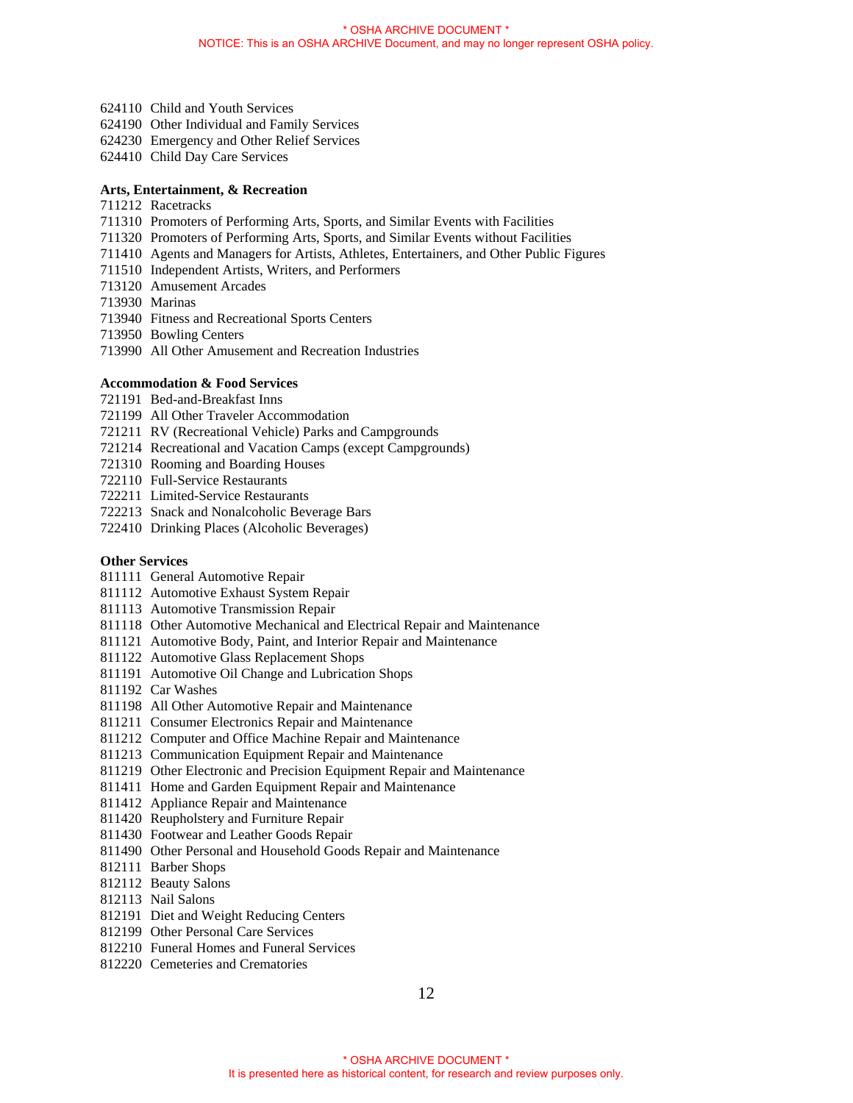- 624110 Child and Youth Services
- 624190 Other Individual and Family Services
- 624230 Emergency and Other Relief Services
- 624410 Child Day Care Services

### **Arts, Entertainment, & Recreation**

- 711212 Racetracks
- 711310 Promoters of Performing Arts, Sports, and Similar Events with Facilities
- 711320 Promoters of Performing Arts, Sports, and Similar Events without Facilities
- 711410 Agents and Managers for Artists, Athletes, Entertainers, and Other Public Figures
- 711510 Independent Artists, Writers, and Performers
- 713120 Amusement Arcades
- 713930 Marinas
- 713940 Fitness and Recreational Sports Centers
- 713950 Bowling Centers
- 713990 All Other Amusement and Recreation Industries

# **Accommodation & Food Services**

- 721191 Bed-and-Breakfast Inns
- 721199 All Other Traveler Accommodation
- 721211 RV (Recreational Vehicle) Parks and Campgrounds
- 721214 Recreational and Vacation Camps (except Campgrounds)
- 721310 Rooming and Boarding Houses
- 722110 Full-Service Restaurants
- 722211 Limited-Service Restaurants
- 722213 Snack and Nonalcoholic Beverage Bars
- 722410 Drinking Places (Alcoholic Beverages)

### **Other Services**

- 811111 General Automotive Repair
- 811112 Automotive Exhaust System Repair
- 811113 Automotive Transmission Repair
- 811118 Other Automotive Mechanical and Electrical Repair and Maintenance
- 811121 Automotive Body, Paint, and Interior Repair and Maintenance
- 811122 Automotive Glass Replacement Shops
- 811191 Automotive Oil Change and Lubrication Shops
- 811192 Car Washes
- 811198 All Other Automotive Repair and Maintenance
- 811211 Consumer Electronics Repair and Maintenance
- 811212 Computer and Office Machine Repair and Maintenance
- 811213 Communication Equipment Repair and Maintenance
- 811219 Other Electronic and Precision Equipment Repair and Maintenance
- 811411 Home and Garden Equipment Repair and Maintenance
- 811412 Appliance Repair and Maintenance
- 811420 Reupholstery and Furniture Repair
- 811430 Footwear and Leather Goods Repair
- 811490 Other Personal and Household Goods Repair and Maintenance
- 812111 Barber Shops
- 812112 Beauty Salons
- 812113 Nail Salons
- 812191 Diet and Weight Reducing Centers
- 812199 Other Personal Care Services
- 812210 Funeral Homes and Funeral Services
- 812220 Cemeteries and Crematories

12